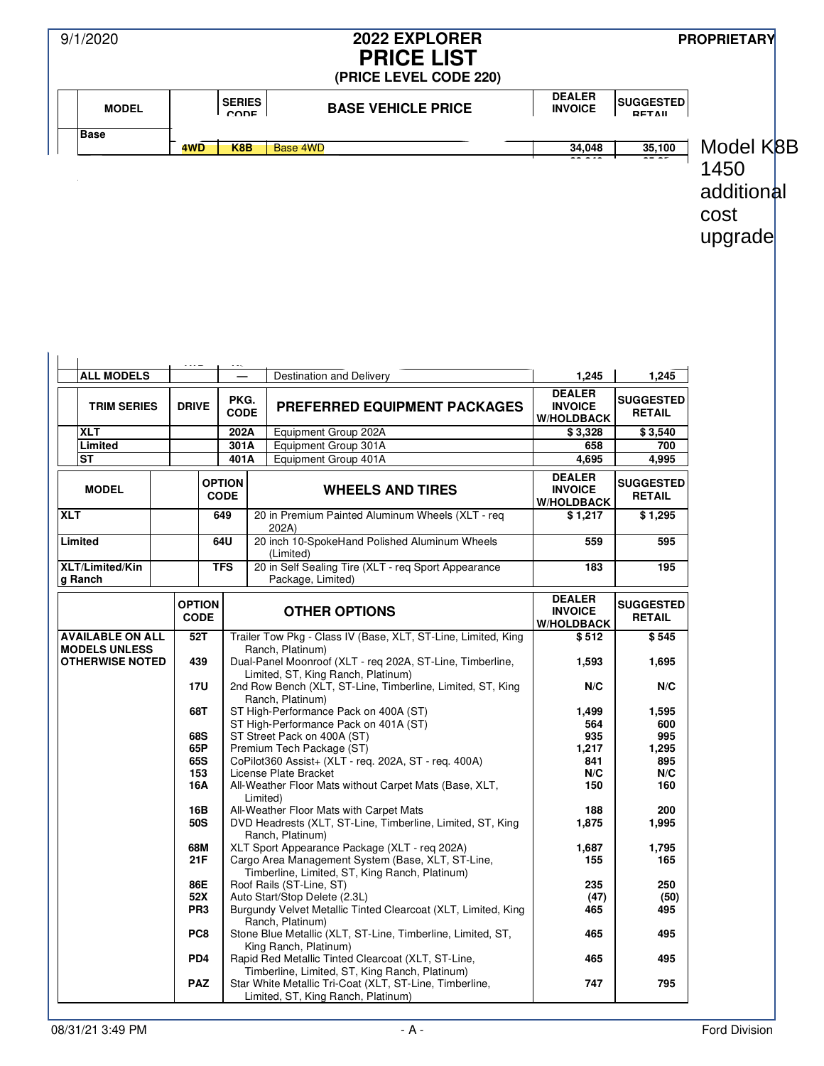| 9/1/2020                                        |  |                                 |                              | 2022 EXPLORER<br><b>PRICE LIST</b><br>(PRICE LEVEL CODE 220)                                                                                                                                                                |                                                      |                                            | <b>PROPRIETARY</b>                    |
|-------------------------------------------------|--|---------------------------------|------------------------------|-----------------------------------------------------------------------------------------------------------------------------------------------------------------------------------------------------------------------------|------------------------------------------------------|--------------------------------------------|---------------------------------------|
| <b>MODEL</b>                                    |  |                                 | <b>SERIES</b><br>CODE        | <b>BASE VEHICLE PRICE</b>                                                                                                                                                                                                   | <b>DEALER</b><br><b>INVOICE</b>                      | <b>SUGGESTED</b><br>DETAIL                 |                                       |
| <b>Base</b>                                     |  | 4WD                             | K8B                          | <b>Base 4WD</b>                                                                                                                                                                                                             | 34,048                                               | 35,100                                     | Model K8B                             |
|                                                 |  |                                 |                              |                                                                                                                                                                                                                             |                                                      |                                            | 1450<br>additional<br>cost<br>upgrade |
| <b>ALL MODELS</b>                               |  |                                 | PKG.                         | Destination and Delivery                                                                                                                                                                                                    | 1,245<br><b>DEALER</b>                               | 1,245<br><b>SUGGESTED</b>                  |                                       |
| <b>TRIM SERIES</b>                              |  | <b>DRIVE</b>                    | <b>CODE</b>                  | <b>PREFERRED EQUIPMENT PACKAGES</b>                                                                                                                                                                                         | <b>INVOICE</b><br><b>W/HOLDBACK</b>                  | <b>RETAIL</b>                              |                                       |
| <b>XLT</b>                                      |  |                                 | 202A                         | Equipment Group 202A                                                                                                                                                                                                        | \$3,328                                              | \$3,540                                    |                                       |
| Limited<br><b>ST</b>                            |  |                                 | 301A<br>401A                 | Equipment Group 301A<br>Equipment Group 401A                                                                                                                                                                                | 658<br>4,695                                         | 700<br>4,995                               |                                       |
| <b>MODEL</b>                                    |  |                                 | <b>OPTION</b><br><b>CODE</b> | <b>WHEELS AND TIRES</b>                                                                                                                                                                                                     | <b>DEALER</b><br><b>INVOICE</b><br><b>W/HOLDBACK</b> | <b>SUGGESTED</b><br><b>RETAIL</b>          |                                       |
| <b>XLT</b>                                      |  |                                 | 649                          | 20 in Premium Painted Aluminum Wheels (XLT - req<br>202A)                                                                                                                                                                   | \$1,217                                              | \$1,295                                    |                                       |
| Limited                                         |  |                                 | 64U                          | 20 inch 10-SpokeHand Polished Aluminum Wheels<br>(Limited)                                                                                                                                                                  | 559                                                  | 595                                        |                                       |
| XLT/Limited/Kin<br>g Ranch                      |  |                                 | <b>TFS</b>                   | 20 in Self Sealing Tire (XLT - reg Sport Appearance<br>Package, Limited)                                                                                                                                                    | 183                                                  | 195                                        |                                       |
|                                                 |  | <b>OPTION</b><br><b>CODE</b>    |                              | <b>OTHER OPTIONS</b>                                                                                                                                                                                                        | <b>DEALER</b><br><b>INVOICE</b><br><b>W/HOLDBACK</b> | <b>SUGGESTED</b><br><b>RETAIL</b>          |                                       |
| <b>AVAILABLE ON ALL</b><br><b>MODELS UNLESS</b> |  | 52 T                            |                              | Trailer Tow Pkg - Class IV (Base, XLT, ST-Line, Limited, King<br>Ranch, Platinum)                                                                                                                                           | \$ 512                                               | \$545                                      |                                       |
| <b>OTHERWISE NOTED</b>                          |  | 439                             |                              | Dual-Panel Moonroof (XLT - req 202A, ST-Line, Timberline,<br>Limited, ST, King Ranch, Platinum)                                                                                                                             | 1,593                                                | 1,695                                      |                                       |
|                                                 |  | 17U                             |                              | 2nd Row Bench (XLT, ST-Line, Timberline, Limited, ST, King<br>Ranch, Platinum)                                                                                                                                              | N/C                                                  | N/C                                        |                                       |
|                                                 |  | 68T<br>68S<br>65P<br>65S<br>153 |                              | ST High-Performance Pack on 400A (ST)<br>ST High-Performance Pack on 401A (ST)<br>ST Street Pack on 400A (ST)<br>Premium Tech Package (ST)<br>CoPilot360 Assist+ (XLT - reg. 202A, ST - reg. 400A)<br>License Plate Bracket | 1,499<br>564<br>935<br>1,217<br>841<br>N/C           | 1,595<br>600<br>995<br>1,295<br>895<br>N/C |                                       |
|                                                 |  | 16A<br>16B<br>50S               |                              | All-Weather Floor Mats without Carpet Mats (Base, XLT,<br>Limited)<br>All-Weather Floor Mats with Carpet Mats<br>DVD Headrests (XLT, ST-Line, Timberline, Limited, ST, King                                                 | 150<br>188<br>1,875                                  | 160<br>200<br>1,995                        |                                       |
|                                                 |  | 68M<br>21F                      |                              | Ranch, Platinum)<br>XLT Sport Appearance Package (XLT - reg 202A)<br>Cargo Area Management System (Base, XLT, ST-Line,<br>Timberline, Limited, ST, King Ranch, Platinum)                                                    | 1,687<br>155                                         | 1,795<br>165                               |                                       |
|                                                 |  | 86E<br>52X<br>PR <sub>3</sub>   |                              | Roof Rails (ST-Line, ST)<br>Auto Start/Stop Delete (2.3L)<br>Burgundy Velvet Metallic Tinted Clearcoat (XLT, Limited, King<br>Ranch, Platinum)                                                                              | 235<br>(47)<br>465                                   | 250<br>(50)<br>495                         |                                       |
|                                                 |  | PC8                             |                              | Stone Blue Metallic (XLT, ST-Line, Timberline, Limited, ST,<br>King Ranch, Platinum)                                                                                                                                        | 465                                                  | 495                                        |                                       |
|                                                 |  | PD <sub>4</sub><br><b>PAZ</b>   |                              | Rapid Red Metallic Tinted Clearcoat (XLT, ST-Line,<br>Timberline, Limited, ST, King Ranch, Platinum)<br>Star White Metallic Tri-Coat (XLT, ST-Line, Timberline,<br>Limited, ST, King Ranch, Platinum)                       | 465<br>747                                           | 495<br>795                                 |                                       |